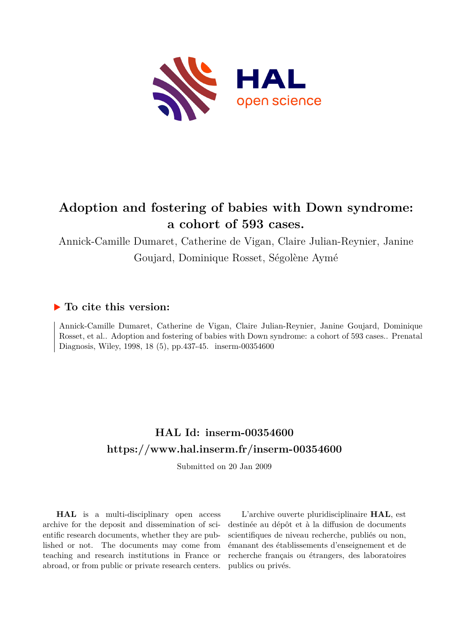

# **Adoption and fostering of babies with Down syndrome: a cohort of 593 cases.**

Annick-Camille Dumaret, Catherine de Vigan, Claire Julian-Reynier, Janine Goujard, Dominique Rosset, Ségolène Aymé

## **To cite this version:**

Annick-Camille Dumaret, Catherine de Vigan, Claire Julian-Reynier, Janine Goujard, Dominique Rosset, et al.. Adoption and fostering of babies with Down syndrome: a cohort of 593 cases.. Prenatal Diagnosis, Wiley, 1998, 18 (5), pp.437-45. inserm-00354600

# **HAL Id: inserm-00354600 <https://www.hal.inserm.fr/inserm-00354600>**

Submitted on 20 Jan 2009

**HAL** is a multi-disciplinary open access archive for the deposit and dissemination of scientific research documents, whether they are published or not. The documents may come from teaching and research institutions in France or abroad, or from public or private research centers.

L'archive ouverte pluridisciplinaire **HAL**, est destinée au dépôt et à la diffusion de documents scientifiques de niveau recherche, publiés ou non, émanant des établissements d'enseignement et de recherche français ou étrangers, des laboratoires publics ou privés.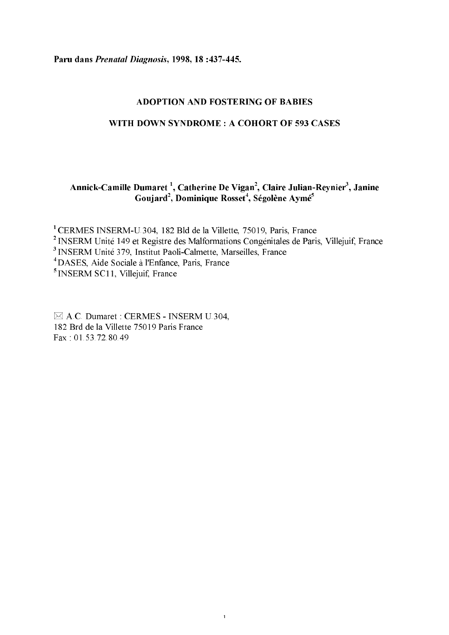Paru dans Prenatal Diagnosis, 1998, 18:437-445.

#### **ADOPTION AND FOSTERING OF BABIES**

#### WITH DOWN SYNDROME: A COHORT OF 593 CASES

### Annick-Camille Dumaret<sup>1</sup>, Catherine De Vigan<sup>2</sup>, Claire Julian-Reynier<sup>3</sup>, Janine Goujard<sup>2</sup>, Dominique Rosset<sup>4</sup>, Ségolène Aymé<sup>5</sup>

<sup>1</sup>CERMES INSERM-U.304, 182 Bld de la Villette, 75019, Paris, France

<sup>2</sup> INSERM Unité 149 et Registre des Malformations Congénitales de Paris, Villejuif, France

 $\mathbf 1$ 

<sup>3</sup> INSERM Unité 379, Institut Paoli-Calmette, Marseilles, France

<sup>4</sup> DASES, Aide Sociale à l'Enfance, Paris, France

<sup>5</sup> INSERM SC11, Villejuif, France

 $\boxtimes$  A.C. Dumaret : CERMES - INSERM U.304, 182 Brd de la Villette 75019 Paris France Fax: 01.53.72.80.49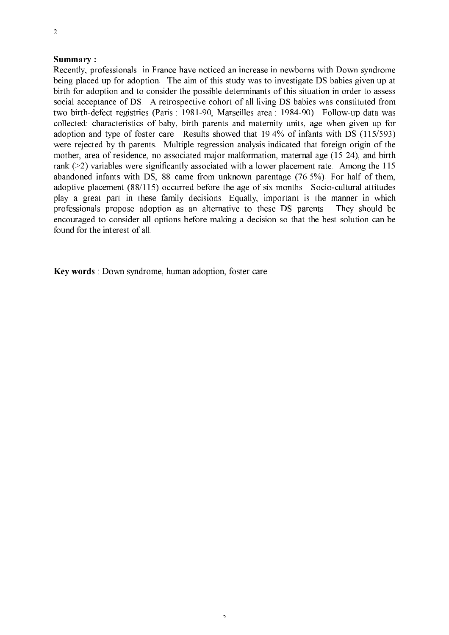#### Summary:

Recently, professionals in France have noticed an increase in newborns with Down syndrome being placed up for adoption. The aim of this study was to investigate DS babies given up at birth for adoption and to consider the possible determinants of this situation in order to assess social acceptance of DS. A retrospective cohort of all living DS babies was constituted from two birth-defect registries (Paris: 1981-90, Marseilles area: 1984-90). Follow-up data was collected: characteristics of baby, birth parents and maternity units, age when given up for adoption and type of foster care. Results showed that 19.4% of infants with DS (115/593) were rejected by th parents. Multiple regression analysis indicated that foreign origin of the mother, area of residence, no associated major malformation, maternal age (15-24), and birth rank ( $>$ 2) variables were significantly associated with a lower placement rate. Among the 115 abandoned infants with DS, 88 came from unknown parentage (76.5%). For half of them, adoptive placement (88/115) occurred before the age of six months. Socio-cultural attitudes play a great part in these family decisions. Equally, important is the manner in which professionals propose adoption as an alternative to these DS parents. They should be encouraged to consider all options before making a decision so that the best solution can be found for the interest of all.

 $\overline{2}$ 

Key words : Down syndrome, human adoption, foster care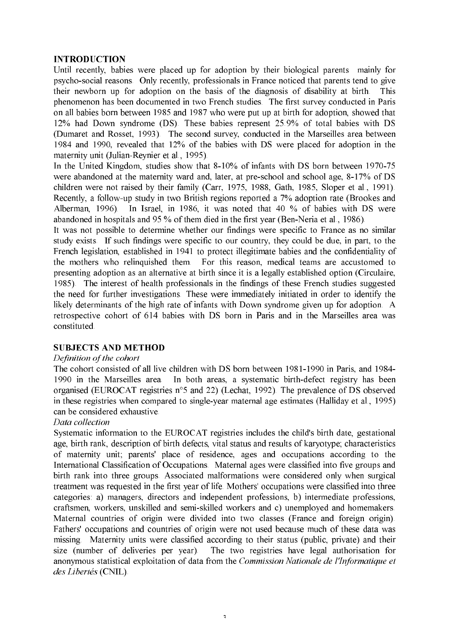#### **INTRODUCTION**

Until recently, babies were placed up for adoption by their biological parents mainly for psycho-social reasons. Only recently, professionals in France noticed that parents tend to give their newborn up for adoption on the basis of the diagnosis of disability at birth. This phenomenon has been documented in two French studies. The first survey conducted in Paris on all babies born between 1985 and 1987 who were put up at birth for adoption, showed that 12% had Down syndrome (DS). These babies represent 25.9% of total babies with DS (Dumaret and Rosset, 1993). The second survey, conducted in the Marseilles area between 1984 and 1990, revealed that 12% of the babies with DS were placed for adoption in the maternity unit (Julian-Reynier et al., 1995).

In the United Kingdom, studies show that 8-10% of infants with DS born between 1970-75 were abandoned at the maternity ward and, later, at pre-school and school age, 8-17% of DS children were not raised by their family (Carr, 1975, 1988, Gath, 1985, Sloper et al., 1991). Recently, a follow-up study in two British regions reported a 7% adoption rate (Brookes and Alberman, 1996). In Israel, in 1986, it was noted that 40 % of babies with DS were abandoned in hospitals and 95 % of them died in the first year (Ben-Neria et al., 1986).

It was not possible to determine whether our findings were specific to France as no similar study exists. If such findings were specific to our country, they could be due, in part, to the French legislation, established in 1941 to protect illegitimate babies and the confidentiality of the mothers who relinquished them. For this reason, medical teams are accustomed to presenting adoption as an alternative at birth since it is a legally established option (Circulaire, 1985). The interest of health professionals in the findings of these French studies suggested the need for further investigations. These were immediately initiated in order to identify the likely determinants of the high rate of infants with Down syndrome given up for adoption. A retrospective cohort of 614 babies with DS born in Paris and in the Marseilles area was constituted.

#### **SUBJECTS AND METHOD**

#### Definition of the cohort

The cohort consisted of all live children with DS born between 1981-1990 in Paris, and 1984-1990 in the Marseilles area. In both areas, a systematic birth-defect registry has been organised (EUROCAT registries n°5 and 22) (Lechat, 1992). The prevalence of DS observed in these registries when compared to single-year maternal age estimates (Halliday et al., 1995) can be considered exhaustive.

#### Data collection

Systematic information to the EUROCAT registries includes the child's birth date, gestational age, birth rank, description of birth defects, vital status and results of karyotype; characteristics of maternity unit; parents' place of residence, ages and occupations according to the International Classification of Occupations. Maternal ages were classified into five groups and birth rank into three groups. Associated malformations were considered only when surgical treatment was requested in the first year of life. Mothers' occupations were classified into three categories: a) managers, directors and independent professions, b) intermediate professions, craftsmen, workers, unskilled and semi-skilled workers and c) unemployed and homemakers. Maternal countries of origin were divided into two classes (France and foreign origin). Fathers' occupations and countries of origin were not used because much of these data was missing. Maternity units were classified according to their status (public, private) and their size (number of deliveries per year). The two registries have legal authorisation for anonymous statistical exploitation of data from the Commission Nationale de l'Informatique et des Libertés (CNIL).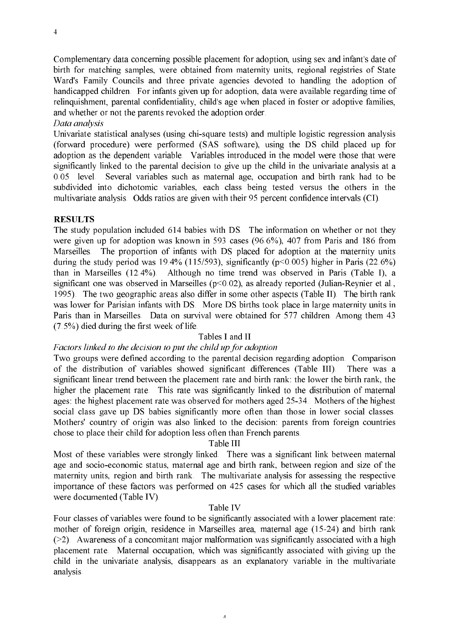Complementary data concerning possible placement for adoption, using sex and infant's date of birth for matching samples, were obtained from maternity units, regional registries of State Ward's Family Councils and three private agencies devoted to handling the adoption of handicapped children. For infants given up for adoption, data were available regarding time of relinquishment, parental confidentiality, child's age when placed in foster or adoptive families, and whether or not the parents revoked the adoption order.

Data analysis

Univariate statistical analyses (using chi-square tests) and multiple logistic regression analysis (forward procedure) were performed (SAS software), using the DS child placed up for adoption as the dependent variable. Variables introduced in the model were those that were significantly linked to the parental decision to give up the child in the univariate analysis at a 0.05 level. Several variables such as maternal age, occupation and birth rank had to be subdivided into dichotomic variables, each class being tested versus the others in the multivariate analysis. Odds ratios are given with their 95 percent confidence intervals (CI).

#### **RESULTS**

The study population included 614 babies with DS. The information on whether or not they were given up for adoption was known in 593 cases (96.6%), 407 from Paris and 186 from Marseilles. The proportion of infants with DS placed for adoption at the maternity units during the study period was 19.4% (115/593), significantly ( $p<0.005$ ) higher in Paris (22.6%) than in Marseilles (12.4%). Although no time trend was observed in Paris (Table I), a significant one was observed in Marseilles ( $p<0.02$ ), as already reported (Julian-Reynier et al., 1995). The two geographic areas also differ in some other aspects (Table II). The birth rank was lower for Parisian infants with DS. More DS births took place in large maternity units in Paris than in Marseilles. Data on survival were obtained for 577 children. Among them 43 (7.5%) died during the first week of life.

#### Tables I and II

#### Factors linked to the decision to put the child up for adoption

Two groups were defined according to the parental decision regarding adoption. Comparison of the distribution of variables showed significant differences (Table III). There was a significant linear trend between the placement rate and birth rank: the lower the birth rank, the higher the placement rate. This rate was significantly linked to the distribution of maternal ages; the highest placement rate was observed for mothers aged 25-34. Mothers of the highest social class gave up DS babies significantly more often than those in lower social classes. Mothers' country of origin was also linked to the decision: parents from foreign countries chose to place their child for adoption less often than French parents.

#### Table III

Most of these variables were strongly linked. There was a significant link between maternal age and socio-economic status, maternal age and birth rank, between region and size of the maternity units, region and birth rank. The multivariate analysis for assessing the respective importance of these factors was performed on 425 cases for which all the studied variables were documented (Table IV).

#### Table IV

Four classes of variables were found to be significantly associated with a lower placement rate: mother of foreign origin, residence in Marseilles area, maternal age (15-24) and birth rank  $(>= 2)$ . Awareness of a concomitant major malformation was significantly associated with a high placement rate. Maternal occupation, which was significantly associated with giving up the child in the univariate analysis, disappears as an explanatory variable in the multivariate analysis.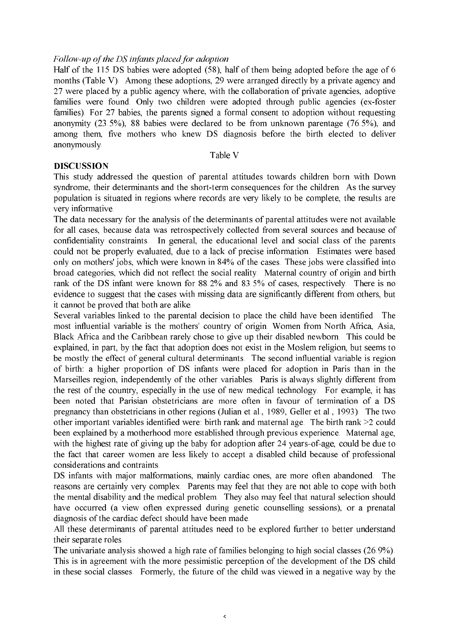#### Follow-up of the DS infants placed for adoption

Half of the 115 DS babies were adopted (58), half of them being adopted before the age of 6 months (Table V). Among these adoptions, 29 were arranged directly by a private agency and 27 were placed by a public agency where, with the collaboration of private agencies, adoptive families were found. Only two children were adopted through public agencies (ex-foster families). For 27 babies, the parents signed a formal consent to adoption without requesting anonymity  $(23.5\%)$ , 88 babies were declared to be from unknown parentage  $(76.5\%)$ , and among them, five mothers who knew DS diagnosis before the birth elected to deliver anonymously.

#### Table V

#### **DISCUSSION**

This study addressed the question of parental attitudes towards children born with Down syndrome, their determinants and the short-term consequences for the children. As the survey population is situated in regions where records are very likely to be complete, the results are very informative.

The data necessary for the analysis of the determinants of parental attitudes were not available for all cases, because data was retrospectively collected from several sources and because of confidentiality constraints. In general, the educational level and social class of the parents could not be properly evaluated, due to a lack of precise information. Estimates were based only on mothers' jobs, which were known in 84% of the cases. These jobs were classified into broad categories, which did not reflect the social reality. Maternal country of origin and birth rank of the DS infant were known for 88.2% and 83.5% of cases, respectively. There is no evidence to suggest that the cases with missing data are significantly different from others, but it cannot be proved that both are alike.

Several variables linked to the parental decision to place the child have been identified. The most influential variable is the mothers' country of origin. Women from North Africa, Asia, Black Africa and the Caribbean rarely chose to give up their disabled newborn. This could be explained, in part, by the fact that adoption does not exist in the Moslem religion, but seems to be mostly the effect of general cultural determinants. The second influential variable is region of birth: a higher proportion of DS infants were placed for adoption in Paris than in the Marseilles region, independently of the other variables. Paris is always slightly different from the rest of the country, especially in the use of new medical technology. For example, it has been noted that Parisian obstetricians are more often in favour of termination of a DS pregnancy than obstetricians in other regions (Julian et al., 1989, Geller et al., 1993). The two other important variables identified were: birth rank and maternal age. The birth rank >2 could been explained by a motherhood more established through previous experience. Maternal age, with the highest rate of giving up the baby for adoption after 24 years-of-age, could be due to the fact that career women are less likely to accept a disabled child because of professional considerations and contraints.

DS infants with major malformations, mainly cardiac ones, are more often abandoned. The reasons are certainly very complex. Parents may feel that they are not able to cope with both the mental disability and the medical problem. They also may feel that natural selection should have occurred (a view often expressed during genetic counselling sessions), or a prenatal diagnosis of the cardiac defect should have been made.

All these determinants of parental attitudes need to be explored further to better understand their separate roles.

The univariate analysis showed a high rate of families belonging to high social classes (26.9%). This is in agreement with the more pessimistic perception of the development of the DS child in these social classes. Formerly, the future of the child was viewed in a negative way by the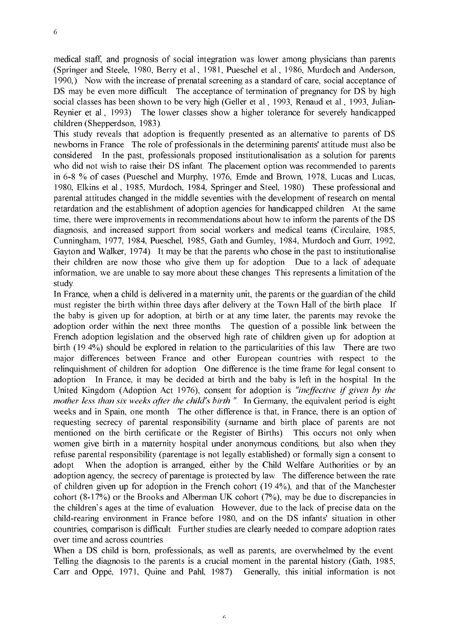medical staff, and prognosis of social integration was lower among physicians than parents (Springer and Steele, 1980, Berry et al., 1981, Pueschel et al., 1986, Murdoch and Anderson, 1990.). Now with the increase of prenatal screening as a standard of care, social acceptance of DS may be even more difficult. The acceptance of termination of pregnancy for DS by high social classes has been shown to be very high (Geller et al., 1993, Renaud et al., 1993, Julian-Reynier et al., 1993). The lower classes show a higher tolerance for severely handicapped children (Shepperdson, 1983).

This study reveals that adoption is frequently presented as an alternative to parents of DS newborns in France. The role of professionals in the determining parents' attitude must also be considered. In the past, professionals proposed institutionalisation as a solution for parents who did not wish to raise their DS infant. The placement option was recommended to parents in 6-8 % of cases (Pueschel and Murphy, 1976, Emde and Brown, 1978, Lucas and Lucas, 1980, Elkins et al., 1985, Murdoch, 1984, Springer and Steel, 1980). These professional and parental attitudes changed in the middle seventies with the development of research on mental retardation and the establishment of adoption agencies for handicapped children. At the same time, there were improvements in recommendations about how to inform the parents of the DS diagnosis, and increased support from social workers and medical teams (Circulaire, 1985, Cunningham, 1977, 1984, Pueschel, 1985, Gath and Gumley, 1984, Murdoch and Gurr, 1992, Gayton and Walker, 1974). It may be that the parents who chose in the past to institutionalise their children are now those who give them up for adoption. Due to a lack of adequate information, we are unable to say more about these changes. This represents a limitation of the study.

In France, when a child is delivered in a maternity unit, the parents or the guardian of the child must register the birth within three days after delivery at the Town Hall of the birth place. If the baby is given up for adoption, at birth or at any time later, the parents may revoke the adoption order within the next three months. The question of a possible link between the French adoption legislation and the observed high rate of children given up for adoption at birth (19.4%) should be explored in relation to the particularities of this law. There are two major differences between France and other European countries with respect to the relinguishment of children for adoption. One difference is the time frame for legal consent to adoption. In France, it may be decided at birth and the baby is left in the hospital. In the United Kingdom (Adoption Act 1976), consent for adoption is "ineffective if given by the mother less than six weeks after the child's birth ". In Germany, the equivalent period is eight weeks and in Spain, one month. The other difference is that, in France, there is an option of requesting secrecy of parental responsibility (surname and birth place of parents are not mentioned on the birth certificate or the Register of Births). This occurs not only when women give birth in a maternity hospital under anonymous conditions, but also when they refuse parental responsibility (parentage is not legally established) or formally sign a consent to adopt. When the adoption is arranged, either by the Child Welfare Authorities or by an adoption agency, the secrecy of parentage is protected by law. The difference between the rate of children given up for adoption in the French cohort (19.4%), and that of the Manchester cohort  $(8-17%)$  or the Brooks and Alberman UK cohort  $(7%)$ , may be due to discrepancies in the children's ages at the time of evaluation. However, due to the lack of precise data on the child-rearing environment in France before 1980, and on the DS infants' situation in other countries, comparison is difficult. Further studies are clearly needed to compare adoption rates over time and across countries.

When a DS child is born, professionals, as well as parents, are overwhelmed by the event. Telling the diagnosis to the parents is a crucial moment in the parental history (Gath, 1985, Carr and Oppé, 1971, Quine and Pahl, 1987). Generally, this initial information is not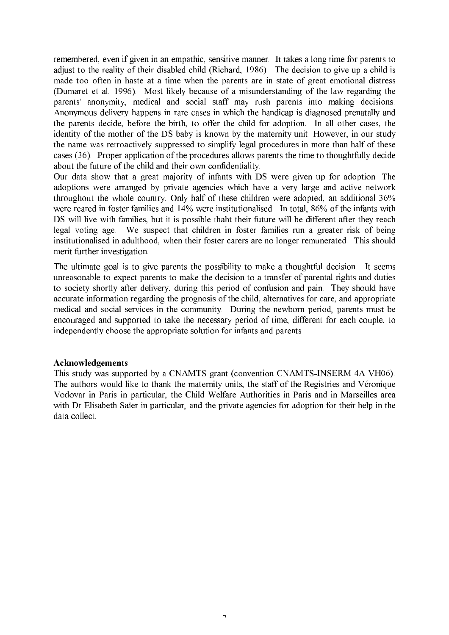remembered, even if given in an empathic, sensitive manner. It takes a long time for parents to adjust to the reality of their disabled child (Richard, 1986). The decision to give up a child is made too often in haste at a time when the parents are in state of great emotional distress (Dumaret et al. 1996). Most likely because of a misunderstanding of the law regarding the parents' anonymity, medical and social staff may rush parents into making decisions. Anonymous delivery happens in rare cases in which the handicap is diagnosed prenatally and the parents decide, before the birth, to offer the child for adoption. In all other cases, the identity of the mother of the DS baby is known by the maternity unit. However, in our study the name was retroactively suppressed to simplify legal procedures in more than half of these cases (36). Proper application of the procedures allows parents the time to thoughtfully decide about the future of the child and their own confidentiality.

Our data show that a great majority of infants with DS were given up for adoption. The adoptions were arranged by private agencies which have a very large and active network throughout the whole country. Only half of these children were adopted, an additional 36% were reared in foster families and 14% were institutionalised. In total, 86% of the infants with DS will live with families, but it is possible thant their future will be different after they reach legal voting age. We suspect that children in foster families run a greater risk of being institutionalised in adulthood, when their foster carers are no longer remunerated. This should merit further investigation.

The ultimate goal is to give parents the possibility to make a thoughtful decision. It seems unreasonable to expect parents to make the decision to a transfer of parental rights and duties to society shortly after delivery, during this period of confusion and pain. They should have accurate information regarding the prognosis of the child, alternatives for care, and appropriate medical and social services in the community. During the newborn period, parents must be encouraged and supported to take the necessary period of time, different for each couple, to independently choose the appropriate solution for infants and parents.

#### Acknowledgements

This study was supported by a CNAMTS grant (convention CNAMTS-INSERM 4A VH06). The authors would like to thank the maternity units, the staff of the Registries and Véronique Vodovar in Paris in particular, the Child Welfare Authorities in Paris and in Marseilles area with Dr Elisabeth Saïer in particular, and the private agencies for adoption for their help in the data collect.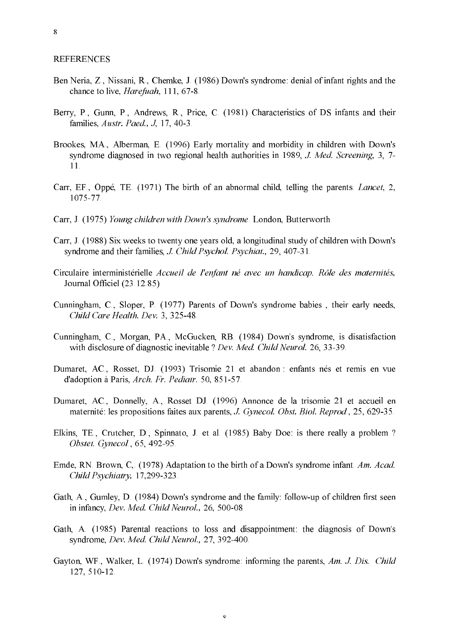8

#### **REFERENCES**

- Ben Neria, Z., Nissani, R., Chemke, J. (1986) Down's syndrome: denial of infant rights and the chance to live, *Harefuah*, 111, 67-8.
- Berry, P., Gunn, P., Andrews, R., Price, C. (1981) Characteristics of DS infants and their families, Austr. Paed., J, 17, 40-3.
- Brookes, MA., Alberman, E. (1996) Early mortality and morbidity in children with Down's syndrome diagnosed in two regional health authorities in 1989, J. Med. Screening, 3, 7- $11<sup>2</sup>$
- Carr, EF., Oppé, TE. (1971) The birth of an abnormal child, telling the parents. Lancet, 2, 1075-77
- Carr, J. (1975) Young children with Down's syndrome. London, Butterworth.
- Carr, J. (1988) Six weeks to twenty one years old, a longitudinal study of children with Down's syndrome and their families, *J. Child Psychol. Psychiat.*, 29, 407-31.
- Circulaire interministérielle Accueil de l'enfant né avec un handicap. Rôle des maternités, Journal Officiel (23.12.85)
- Cunningham, C., Sloper, P. (1977) Parents of Down's syndrome babies, their early needs, Child Care Health. Dev. 3, 325-48.
- Cunningham, C., Morgan, PA., McGucken, RB. (1984) Down's syndrome, is disatisfaction with disclosure of diagnostic inevitable ? Dev. Med. Child Neurol. 26, 33-39.
- Dumaret, AC., Rosset, DJ. (1993) Trisomie 21 et abandon : enfants nés et remis en vue d'adoption à Paris, Arch. Fr. Pediatr. 50, 851-57.
- Dumaret, AC., Donnelly, A., Rosset DJ. (1996) Annonce de la trisomie 21 et accueil en maternité: les propositions faites aux parents, J. Gynecol. Obst. Biol. Reprod., 25, 629-35.
- Elkins, TE., Crutcher, D., Spinnato, J. et al. (1985) Baby Doe: is there really a problem? Obstet. Gynecol., 65, 492-95.
- Emde, RN. Brown, C. (1978) Adaptation to the birth of a Down's syndrome infant. Am. Acad. Child Psychiatry, 17,299-323.
- Gath, A., Gumley, D. (1984) Down's syndrome and the family: follow-up of children first seen in infancy, Dev. Med. Child Neurol., 26, 500-08
- Gath, A. (1985) Parental reactions to loss and disappointment: the diagnosis of Down's syndrome, Dev. Med. Child Neurol., 27, 392-400.
- Gayton, WF., Walker, L. (1974) Down's syndrome: informing the parents, Am. J. Dis. Child 127, 510-12.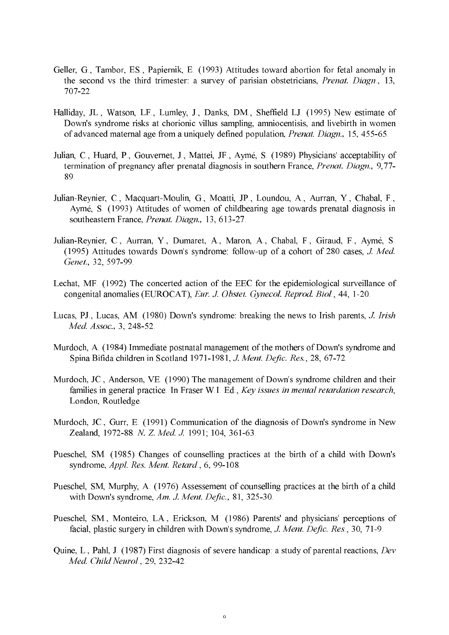- Geller, G., Tambor, ES., Papiernik, E. (1993) Attitudes toward abortion for fetal anomaly in the second vs the third trimester: a survey of parisian obstetricians, *Prenat. Diagn.*, 13,  $707 - 22$
- Halliday, JL., Watson, LF., Lumley, J., Danks, DM., Sheffield LJ. (1995) New estimate of Down's syndrome risks at chorionic villus sampling, amniocentisis, and livebirth in women of advanced maternal age from a uniquely defined population, Prenat. Diagn., 15, 455-65.
- Julian, C., Huard, P., Gouvernet, J., Mattei, JF., Aymé, S. (1989) Physicians' acceptability of termination of pregnancy after prenatal diagnosis in southern France, *Prenat. Diagn.*, 9,77-89.
- Julian-Reynier, C., Macquart-Moulin, G., Moatti, JP., Loundou, A., Aurran, Y., Chabal, F., Aymé, S. (1993) Attitudes of women of childbearing age towards prenatal diagnosis in southeastern France, Prenat. Diagn., 13, 613-27.
- Julian-Reynier, C., Aurran, Y., Dumaret, A., Maron, A., Chabal, F., Giraud, F., Aymé, S. (1995) Attitudes towards Down's syndrome: follow-up of a cohort of 280 cases, J. Med. Genet., 32, 597-99.
- Lechat, MF. (1992) The concerted action of the EEC for the epidemiological surveillance of congenital anomalies (EUROCAT), Eur. J. Obstet. Gynecol. Reprod. Biol., 44, 1-20.
- Lucas, PJ., Lucas, AM. (1980) Down's syndrome: breaking the news to Irish parents, J. Irish Med. Assoc., 3, 248-52.
- Murdoch, A. (1984) Immediate postnatal management of the mothers of Down's syndrome and Spina Bifida children in Scotland 1971-1981, J. Ment. Defic. Res., 28, 67-72.
- Murdoch, JC., Anderson, VE. (1990) The management of Down's syndrome children and their families in general practice. In Fraser W.I. Ed., Key issues in mental retardation research, London, Routledge.
- Murdoch, JC., Gurr, E. (1991) Communication of the diagnosis of Down's syndrome in New Zealand, 1972-88 N. Z. Med. J. 1991; 104, 361-63.
- Pueschel, SM. (1985) Changes of counselling practices at the birth of a child with Down's syndrome, Appl. Res. Ment. Retard., 6, 99-108.
- Pueschel, SM, Murphy, A. (1976) Assessement of counselling practices at the birth of a child with Down's syndrome, Am. J. Ment. Defic., 81, 325-30.
- Pueschel, SM., Monteiro, LA., Erickson, M. (1986) Parents' and physicians' perceptions of facial, plastic surgery in children with Down's syndrome, J. Ment. Defic. Res., 30, 71-9.
- Quine, L., Pahl, J. (1987) First diagnosis of severe handicap: a study of parental reactions, Dev Med. Child Neurol., 29, 232-42.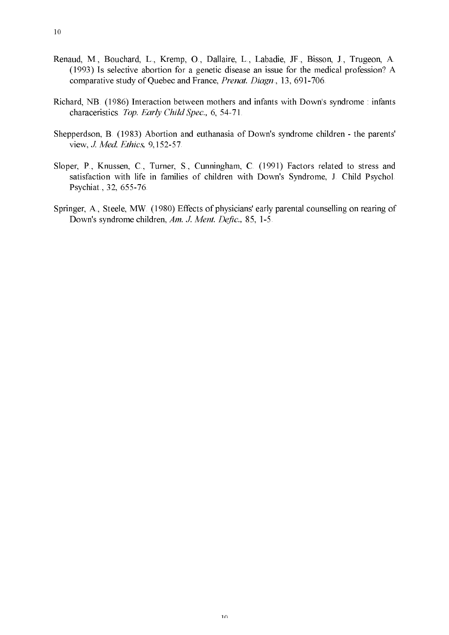- Renaud, M., Bouchard, L., Kremp, O., Dallaire, L., Labadie, JF., Bisson, J., Trugeon, A. (1993) Is selective abortion for a genetic disease an issue for the medical profession? A comparative study of Quebec and France, Prenat. Diagn., 13, 691-706.
- Richard, NB. (1986) Interaction between mothers and infants with Down's syndrome : infants characeristics. Top. Early Child Spec., 6, 54-71.
- Shepperdson, B. (1983) Abortion and euthanasia of Down's syndrome children the parents' view, J. Med. Ethics, 9,152-57.
- Sloper, P., Knussen, C., Turner, S., Cunningham, C. (1991) Factors related to stress and satisfaction with life in families of children with Down's Syndrome, J. Child Psychol. Psychiat., 32, 655-76.
- Springer, A., Steele, MW. (1980) Effects of physicians' early parental counselling on rearing of Down's syndrome children, Am. J. Ment. Defic., 85, 1-5.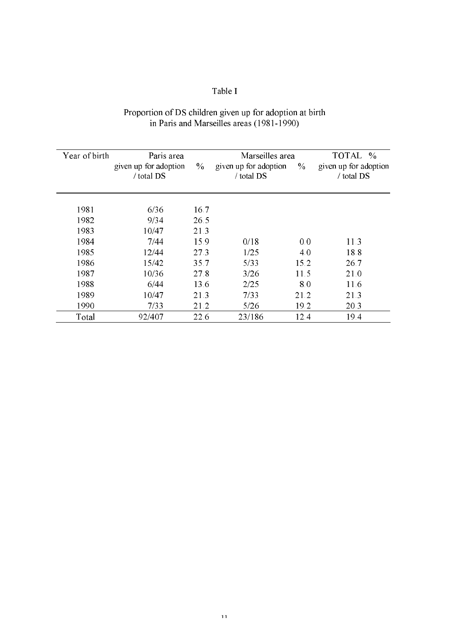# Table I

# Proportion of DS children given up for adoption at birth<br>in Paris and Marseilles areas (1981-1990)

| Year of birth | Paris area<br>given up for adoption<br>/ total DS | $\frac{0}{0}$ | Marseilles area<br>given up for adoption<br>/ total DS | $\frac{0}{0}$ | TOTAL %<br>given up for adoption<br>/ total DS |
|---------------|---------------------------------------------------|---------------|--------------------------------------------------------|---------------|------------------------------------------------|
| 1981          | 6/36                                              | 16.7          |                                                        |               |                                                |
| 1982          | 9/34                                              | 26.5          |                                                        |               |                                                |
| 1983          | 10/47                                             | 21.3          |                                                        |               |                                                |
| 1984          | 7/44                                              | 15.9          | 0/18                                                   | 0.0           | 11.3                                           |
| 1985          | 12/44                                             | 273           | 1/25                                                   | 4.0           | 18.8                                           |
| 1986          | 15/42                                             | 35.7          | 5/33                                                   | 15.2          | 26.7                                           |
| 1987          | 10/36                                             | 27.8          | 3/26                                                   | 11.5          | 21.0                                           |
| 1988          | 6/44                                              | 13.6          | 2/25                                                   | 8.0           | 11.6                                           |
| 1989          | 10/47                                             | 21.3          | 7/33                                                   | 21 2          | 21.3                                           |
| 1990          | 7/33                                              | 21.2          | 5/26                                                   | 19.2          | 20.3                                           |
| Total         | 92/407                                            | 22.6          | 23/186                                                 | 12.4          | 19.4                                           |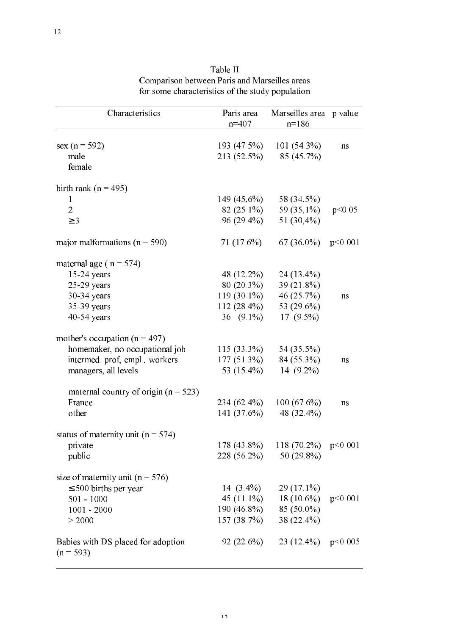| Characteristics                                   | Paris area    | Marseilles area p value  |         |  |
|---------------------------------------------------|---------------|--------------------------|---------|--|
|                                                   | $n=407$       | $n = 186$                |         |  |
|                                                   |               |                          |         |  |
| sex ( $n = 592$ )                                 | 193 (47.5%)   | $101(54.3\%)$            | ns      |  |
| male                                              | 213 (52.5%)   | 85 (45.7%)               |         |  |
| female                                            |               |                          |         |  |
| birth rank ( $n = 495$ )                          |               |                          |         |  |
| $\mathbf{1}$                                      | 149 (45,6%)   | 58 (34,5%)               |         |  |
| $\overline{2}$                                    | $82(25.1\%)$  | 59 $(35,1\%)$            | p<0.05  |  |
| $\geq$ 3                                          | 96 (29.4%)    | 51 $(30,4\%)$            |         |  |
| major malformations ( $n = 590$ )                 | 71 (17.6%)    | $67(36.0\%)$             | p<0.001 |  |
| maternal age ( $n = 574$ )                        |               |                          |         |  |
| 15-24 years                                       | 48 (12.2%)    | $24(13.4\%)$             |         |  |
| $25-29$ years                                     | $80(20.3\%)$  | 39 (21.8%)               |         |  |
| 30-34 years                                       | $119(30.1\%)$ | 46 $(25.7%)$             | ns      |  |
| 35-39 years                                       | $112(28.4\%)$ | 53 (29.6%)               |         |  |
| 40-54 years                                       | $36(9.1\%)$   | 17 $(9.5\%)$             |         |  |
| mother's occupation ( $n = 497$ )                 |               |                          |         |  |
| homemaker, no occupational job                    | $115(33.3\%)$ | 54 (35.5%)               |         |  |
| intermed prof, empl., workers                     | $177(51.3\%)$ | 84 (55.3%)               | ns      |  |
| managers, all levels                              | 53 (15.4%)    | 14 $(9.2\%)$             |         |  |
| maternal country of origin ( $n = 523$ )          |               |                          |         |  |
| France                                            | 234 (62.4%)   | 100(67.6%)               | ns      |  |
| other                                             | 141(37.6%)    | 48 (32.4%)               |         |  |
| status of maternity unit ( $n = 574$ )            |               |                          |         |  |
| private                                           | $178(43.8\%)$ | 118 (70.2%) $p<0.001$    |         |  |
| public                                            |               | $228(56.2\%)$ 50 (29.8%) |         |  |
| size of maternity unit ( $n = 576$ )              |               |                          |         |  |
| $\leq$ 500 births per year                        | $14(3.4\%)$   | $29(17.1\%)$             |         |  |
| $501 - 1000$                                      |               | 45 (11.1%) 18 (10.6%)    | p<0.001 |  |
| $1001 - 2000$                                     |               | $190(46.8\%)$ 85 (50.0%) |         |  |
| > 2000                                            | 157(38.7%)    | 38 (22.4%)               |         |  |
| Babies with DS placed for adoption<br>$(n = 593)$ | $92(22.6\%)$  | 23 (12.4%) $p<0.005$     |         |  |

Table II Comparison between Paris and Marseilles areas for some characteristics of the study population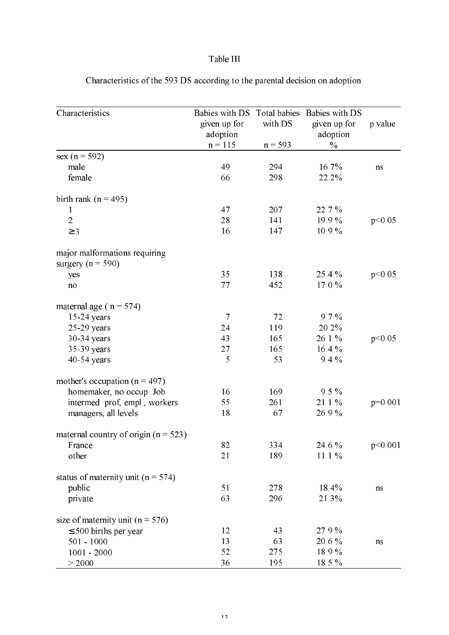# Table III

| Characteristics                          | Babies with DS           | Total babies | Babies with DS           |           |
|------------------------------------------|--------------------------|--------------|--------------------------|-----------|
|                                          | given up for<br>adoption | with DS      | given up for<br>adoption | p value   |
|                                          | $n = 115$                | $n = 593$    | $\%$                     |           |
| sex ( $n = 592$ )                        |                          |              |                          |           |
| male                                     | 49                       | 294          | 16.7%                    | ns        |
| female                                   | 66                       | 298          | 22.2%                    |           |
| birth rank ( $n = 495$ )                 |                          |              |                          |           |
| 1                                        | 47                       | 207          | 22.7%                    |           |
| $\overline{2}$                           | 28                       | 141          | 19.9%                    | p<0.05    |
| $\geq$ 3                                 | 16                       | 147          | 10.9%                    |           |
| major malformations requiring            |                          |              |                          |           |
| surgery ( $n = 590$ )                    |                          |              |                          |           |
| yes                                      | 35                       | 138          | 25.4%                    | p<0.05    |
| no                                       | 77                       | 452          | 17.0%                    |           |
| maternal age ( $n = 574$ )               |                          |              |                          |           |
| $15-24$ years                            | $\overline{7}$           | 72           | 9.7%                     |           |
| $25-29$ years                            | 24                       | 119          | 20.2%                    |           |
| 30-34 years                              | 43                       | 165          | 26.1%                    | p<0.05    |
| 35-39 years                              | 27                       | 165          | 16.4%                    |           |
| $40-54$ years                            | 5                        | 53           | 9.4%                     |           |
| mother's occupation ( $n = 497$ )        |                          |              |                          |           |
| homemaker, no occup. Job                 | 16                       | 169          | $9.5\%$                  |           |
| intermed prof, empl., workers            | 55                       | 261          | 21.1%                    | $p=0.001$ |
| managers, all levels                     | 18                       | 67           | 26.9%                    |           |
| maternal country of origin ( $n = 523$ ) |                          |              |                          |           |
| France                                   | 82                       | 334          | 24.6 %                   | p<0.001   |
| other                                    | 21                       | 189          | 11.1%                    |           |
| status of maternity unit ( $n = 574$ )   |                          |              |                          |           |
| public                                   | 51                       | 278          | 18.4%                    | ns        |
| private                                  | 63                       | 296          | 21.3%                    |           |
| size of maternity unit ( $n = 576$ )     |                          |              |                          |           |
| $\leq 500$ births per year               | 12                       | 43           | 27.9%                    |           |
| $501 - 1000$                             | 13                       | 63           | 20.6%                    | ns        |
| $1001 - 2000$                            | 52                       | 275          | 18.9%                    |           |
| > 2000                                   | 36                       | 195          | 18.5%                    |           |

Characteristics of the 593 DS according to the parental decision on adoption.